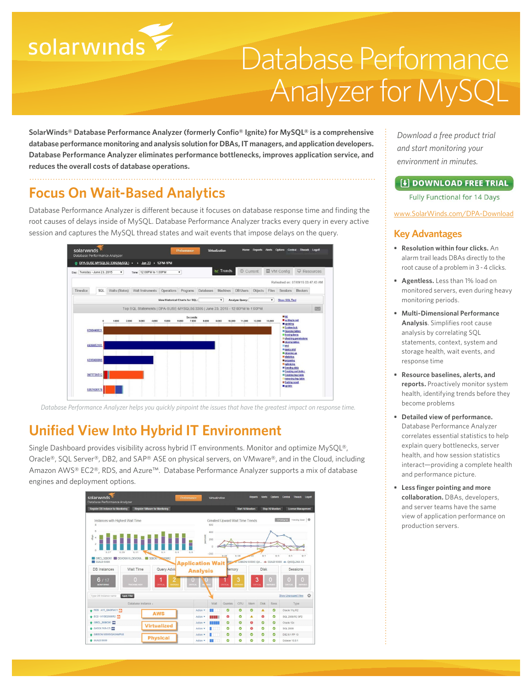# solarwinds

## Database Performance Analyzer for MySQL

**SolarWinds® Database Performance Analyzer (formerly Confio® Ignite) for MySQL® is a comprehensive database performance monitoring and analysis solution for DBAs, IT managers, and application developers. Database Performance Analyzer eliminates performance bottlenecks, improves application service, and reduces the overall costs of database operations.**

## **Focus On Wait-Based Analytics**

Database Performance Analyzer is different because it focuses on database response time and finding the root causes of delays inside of MySQL. Database Performance Analyzer tracks every query in every active session and captures the MySQL thread states and wait events that impose delays on the query.



*Database Performance Analyzer helps you quickly pinpoint the issues that have the greatest impact on response time.*

## **Unified View Into Hybrid IT Environment**

Single Dashboard provides visibility across hybrid IT environments. Monitor and optimize MySQL®, Oracle®, SQL Server®, DB2, and SAP® ASE on physical servers, on VMware®, and in the Cloud, including Amazon AWS® EC2®, RDS, and Azure™. Database Performance Analyzer supports a mix of database engines and deployment options.



*Download a free product trial and start monitoring your environment in minutes.*

#### [+] DOWNLOAD FREE TRIAL

**Fully Functional for 14 Days** 

[www.SolarWinds.com/DPA-Download](http://www.solarwinds.com/dpa-download/)

#### **Key Advantages**

- **• Resolution within four clicks.** An alarm trail leads DBAs directly to the root cause of a problem in 3 - 4 clicks.
- **• Agentless.** Less than 1% load on monitored servers, even during heavy monitoring periods.
- **• Multi-Dimensional Performance Analysis**. Simplifies root cause analysis by correlating SQL statements, context, system and storage health, wait events, and response time
- **• Resource baselines, alerts, and reports.** Proactively monitor system health, identifying trends before they become problems
- **• Detailed view of performance.** Database Performance Analyzer correlates essential statistics to help explain query bottlenecks, server health, and how session statistics interact—providing a complete health and performance picture.
- **• Less finger pointing and more collaboration.** DBAs, developers, and server teams have the same view of application performance on production servers.